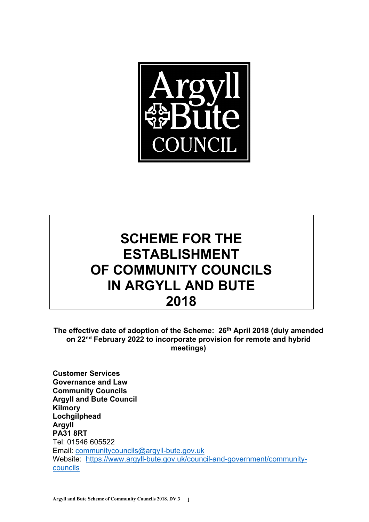

# **SCHEME FOR THE ESTABLISHMENT OF COMMUNITY COUNCILS IN ARGYLL AND BUTE 2018**

**The effective date of adoption of the Scheme: 26th April 2018 (duly amended on 22nd February 2022 to incorporate provision for remote and hybrid meetings)** 

**Customer Services Governance and Law Community Councils Argyll and Bute Council Kilmory Lochgilphead Argyll PA31 8RT**  Tel: 01546 605522 Email: communitycouncils@argyll-bute.gov.uk Website: https://www.argyll-bute.gov.uk/council-and-government/communitycouncils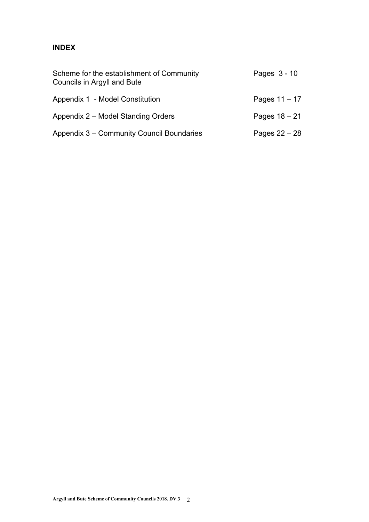# **INDEX**

| Scheme for the establishment of Community<br>Councils in Argyll and Bute | Pages 3 - 10    |
|--------------------------------------------------------------------------|-----------------|
| Appendix 1 - Model Constitution                                          | Pages $11 - 17$ |
| Appendix 2 – Model Standing Orders                                       | Pages $18 - 21$ |
| Appendix 3 – Community Council Boundaries                                | Pages $22 - 28$ |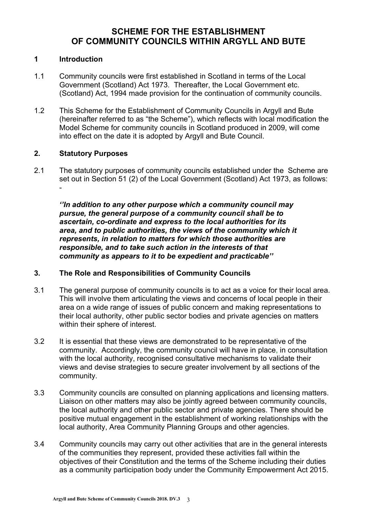# **SCHEME FOR THE ESTABLISHMENT OF COMMUNITY COUNCILS WITHIN ARGYLL AND BUTE**

#### **1 Introduction**

- 1.1 Community councils were first established in Scotland in terms of the Local Government (Scotland) Act 1973. Thereafter, the Local Government etc. (Scotland) Act, 1994 made provision for the continuation of community councils.
- 1.2 This Scheme for the Establishment of Community Councils in Argyll and Bute (hereinafter referred to as "the Scheme"), which reflects with local modification the Model Scheme for community councils in Scotland produced in 2009, will come into effect on the date it is adopted by Argyll and Bute Council.

#### **2. Statutory Purposes**

2.1 The statutory purposes of community councils established under the Scheme are set out in Section 51 (2) of the Local Government (Scotland) Act 1973, as follows: -

*''In addition to any other purpose which a community council may pursue, the general purpose of a community council shall be to ascertain, co-ordinate and express to the local authorities for its area, and to public authorities, the views of the community which it represents, in relation to matters for which those authorities are responsible, and to take such action in the interests of that community as appears to it to be expedient and practicable''*

#### **3. The Role and Responsibilities of Community Councils**

- 3.1 The general purpose of community councils is to act as a voice for their local area. This will involve them articulating the views and concerns of local people in their area on a wide range of issues of public concern and making representations to their local authority, other public sector bodies and private agencies on matters within their sphere of interest.
- 3.2 It is essential that these views are demonstrated to be representative of the community. Accordingly, the community council will have in place, in consultation with the local authority, recognised consultative mechanisms to validate their views and devise strategies to secure greater involvement by all sections of the community.
- 3.3 Community councils are consulted on planning applications and licensing matters. Liaison on other matters may also be jointly agreed between community councils, the local authority and other public sector and private agencies. There should be positive mutual engagement in the establishment of working relationships with the local authority, Area Community Planning Groups and other agencies.
- 3.4 Community councils may carry out other activities that are in the general interests of the communities they represent, provided these activities fall within the objectives of their Constitution and the terms of the Scheme including their duties as a community participation body under the Community Empowerment Act 2015.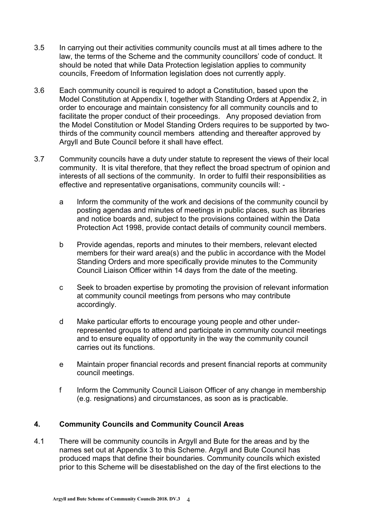- 3.5 In carrying out their activities community councils must at all times adhere to the law, the terms of the Scheme and the community councillors' code of conduct. It should be noted that while Data Protection legislation applies to community councils, Freedom of Information legislation does not currently apply.
- 3.6 Each community council is required to adopt a Constitution, based upon the Model Constitution at Appendix I, together with Standing Orders at Appendix 2, in order to encourage and maintain consistency for all community councils and to facilitate the proper conduct of their proceedings. Any proposed deviation from the Model Constitution or Model Standing Orders requires to be supported by twothirds of the community council members attending and thereafter approved by Argyll and Bute Council before it shall have effect.
- 3.7 Community councils have a duty under statute to represent the views of their local community. It is vital therefore, that they reflect the broad spectrum of opinion and interests of all sections of the community. In order to fulfil their responsibilities as effective and representative organisations, community councils will:
	- a Inform the community of the work and decisions of the community council by posting agendas and minutes of meetings in public places, such as libraries and notice boards and, subject to the provisions contained within the Data Protection Act 1998, provide contact details of community council members.
	- b Provide agendas, reports and minutes to their members, relevant elected members for their ward area(s) and the public in accordance with the Model Standing Orders and more specifically provide minutes to the Community Council Liaison Officer within 14 days from the date of the meeting.
	- c Seek to broaden expertise by promoting the provision of relevant information at community council meetings from persons who may contribute accordingly.
	- d Make particular efforts to encourage young people and other underrepresented groups to attend and participate in community council meetings and to ensure equality of opportunity in the way the community council carries out its functions.
	- e Maintain proper financial records and present financial reports at community council meetings.
	- f Inform the Community Council Liaison Officer of any change in membership (e.g. resignations) and circumstances, as soon as is practicable.

# **4. Community Councils and Community Council Areas**

4.1 There will be community councils in Argyll and Bute for the areas and by the names set out at Appendix 3 to this Scheme. Argyll and Bute Council has produced maps that define their boundaries. Community councils which existed prior to this Scheme will be disestablished on the day of the first elections to the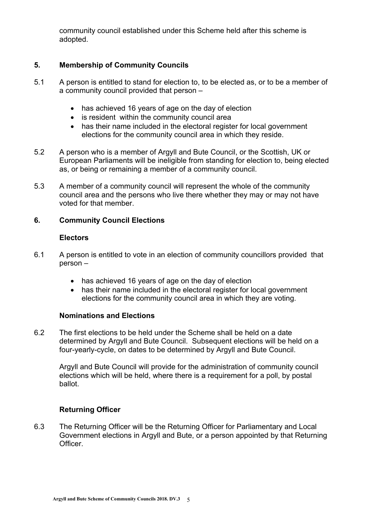community council established under this Scheme held after this scheme is adopted.

# **5. Membership of Community Councils**

- 5.1 A person is entitled to stand for election to, to be elected as, or to be a member of a community council provided that person –
	- has achieved 16 years of age on the day of election
	- is resident within the community council area
	- has their name included in the electoral register for local government elections for the community council area in which they reside.
- 5.2 A person who is a member of Argyll and Bute Council, or the Scottish, UK or European Parliaments will be ineligible from standing for election to, being elected as, or being or remaining a member of a community council.
- 5.3 A member of a community council will represent the whole of the community council area and the persons who live there whether they may or may not have voted for that member.

# **6. Community Council Elections**

# **Electors**

- 6.1 A person is entitled to vote in an election of community councillors provided that person –
	- has achieved 16 years of age on the day of election
	- has their name included in the electoral register for local government elections for the community council area in which they are voting.

# **Nominations and Elections**

6.2 The first elections to be held under the Scheme shall be held on a date determined by Argyll and Bute Council. Subsequent elections will be held on a four-yearly-cycle, on dates to be determined by Argyll and Bute Council.

Argyll and Bute Council will provide for the administration of community council elections which will be held, where there is a requirement for a poll, by postal ballot.

# **Returning Officer**

6.3 The Returning Officer will be the Returning Officer for Parliamentary and Local Government elections in Argyll and Bute, or a person appointed by that Returning Officer.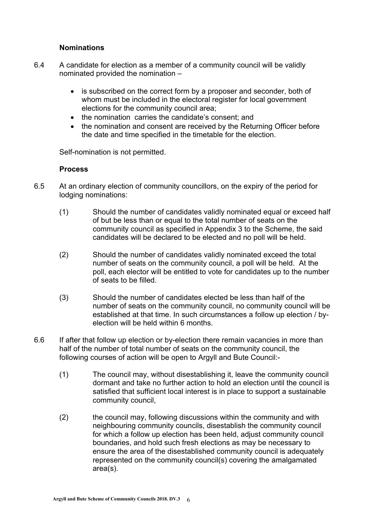# **Nominations**

- 6.4 A candidate for election as a member of a community council will be validly nominated provided the nomination –
	- is subscribed on the correct form by a proposer and seconder, both of whom must be included in the electoral register for local government elections for the community council area;
	- the nomination carries the candidate's consent; and
	- the nomination and consent are received by the Returning Officer before the date and time specified in the timetable for the election.

Self-nomination is not permitted.

#### **Process**

- 6.5 At an ordinary election of community councillors, on the expiry of the period for lodging nominations:
	- (1) Should the number of candidates validly nominated equal or exceed half of but be less than or equal to the total number of seats on the community council as specified in Appendix 3 to the Scheme, the said candidates will be declared to be elected and no poll will be held.
	- (2) Should the number of candidates validly nominated exceed the total number of seats on the community council, a poll will be held. At the poll, each elector will be entitled to vote for candidates up to the number of seats to be filled.
	- (3) Should the number of candidates elected be less than half of the number of seats on the community council, no community council will be established at that time. In such circumstances a follow up election / byelection will be held within 6 months.
- 6.6 If after that follow up election or by-election there remain vacancies in more than half of the number of total number of seats on the community council, the following courses of action will be open to Argyll and Bute Council:-
	- (1) The council may, without disestablishing it, leave the community council dormant and take no further action to hold an election until the council is satisfied that sufficient local interest is in place to support a sustainable community council,
	- (2) the council may, following discussions within the community and with neighbouring community councils, disestablish the community council for which a follow up election has been held, adjust community council boundaries, and hold such fresh elections as may be necessary to ensure the area of the disestablished community council is adequately represented on the community council(s) covering the amalgamated area(s).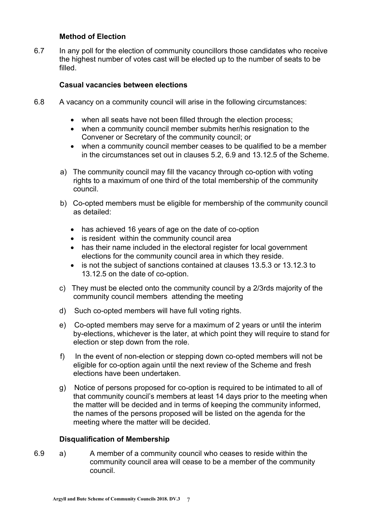#### **Method of Election**

6.7 In any poll for the election of community councillors those candidates who receive the highest number of votes cast will be elected up to the number of seats to be filled.

#### **Casual vacancies between elections**

- 6.8 A vacancy on a community council will arise in the following circumstances:
	- when all seats have not been filled through the election process;
	- when a community council member submits her/his resignation to the Convener or Secretary of the community council; or
	- when a community council member ceases to be qualified to be a member in the circumstances set out in clauses 5.2, 6.9 and 13.12.5 of the Scheme.
	- a) The community council may fill the vacancy through co-option with voting rights to a maximum of one third of the total membership of the community council.
	- b) Co-opted members must be eligible for membership of the community council as detailed:
		- has achieved 16 years of age on the date of co-option
		- is resident within the community council area
		- has their name included in the electoral register for local government elections for the community council area in which they reside.
		- is not the subject of sanctions contained at clauses 13.5.3 or 13.12.3 to 13.12.5 on the date of co-option.
	- c) They must be elected onto the community council by a 2/3rds majority of the community council members attending the meeting
	- d) Such co-opted members will have full voting rights.
	- e) Co-opted members may serve for a maximum of 2 years or until the interim by-elections, whichever is the later, at which point they will require to stand for election or step down from the role.
	- f) In the event of non-election or stepping down co-opted members will not be eligible for co-option again until the next review of the Scheme and fresh elections have been undertaken.
	- g) Notice of persons proposed for co-option is required to be intimated to all of that community council's members at least 14 days prior to the meeting when the matter will be decided and in terms of keeping the community informed, the names of the persons proposed will be listed on the agenda for the meeting where the matter will be decided.

#### **Disqualification of Membership**

6.9 a) A member of a community council who ceases to reside within the community council area will cease to be a member of the community council.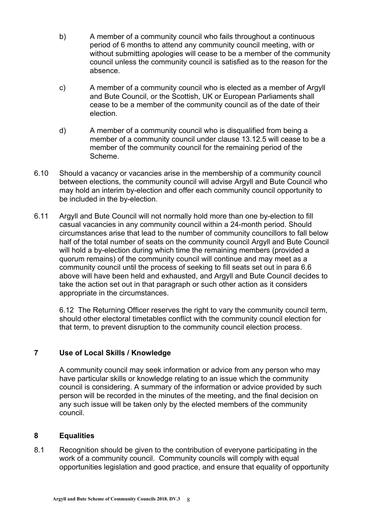- b) A member of a community council who fails throughout a continuous period of 6 months to attend any community council meeting, with or without submitting apologies will cease to be a member of the community council unless the community council is satisfied as to the reason for the absence.
- c) A member of a community council who is elected as a member of Argyll and Bute Council, or the Scottish, UK or European Parliaments shall cease to be a member of the community council as of the date of their election.
- d) A member of a community council who is disqualified from being a member of a community council under clause 13.12.5 will cease to be a member of the community council for the remaining period of the Scheme.
- 6.10 Should a vacancy or vacancies arise in the membership of a community council between elections, the community council will advise Argyll and Bute Council who may hold an interim by-election and offer each community council opportunity to be included in the by-election.
- 6.11 Argyll and Bute Council will not normally hold more than one by-election to fill casual vacancies in any community council within a 24-month period. Should circumstances arise that lead to the number of community councillors to fall below half of the total number of seats on the community council Argyll and Bute Council will hold a by-election during which time the remaining members (provided a quorum remains) of the community council will continue and may meet as a community council until the process of seeking to fill seats set out in para 6.6 above will have been held and exhausted, and Argyll and Bute Council decides to take the action set out in that paragraph or such other action as it considers appropriate in the circumstances.

6.12 The Returning Officer reserves the right to vary the community council term, should other electoral timetables conflict with the community council election for that term, to prevent disruption to the community council election process.

#### **7 Use of Local Skills / Knowledge**

A community council may seek information or advice from any person who may have particular skills or knowledge relating to an issue which the community council is considering. A summary of the information or advice provided by such person will be recorded in the minutes of the meeting, and the final decision on any such issue will be taken only by the elected members of the community council.

#### **8 Equalities**

8.1 Recognition should be given to the contribution of everyone participating in the work of a community council. Community councils will comply with equal opportunities legislation and good practice, and ensure that equality of opportunity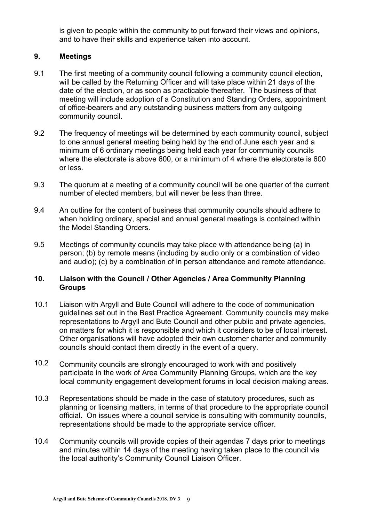is given to people within the community to put forward their views and opinions, and to have their skills and experience taken into account.

# **9. Meetings**

- 9.1 The first meeting of a community council following a community council election, will be called by the Returning Officer and will take place within 21 days of the date of the election, or as soon as practicable thereafter. The business of that meeting will include adoption of a Constitution and Standing Orders, appointment of office-bearers and any outstanding business matters from any outgoing community council.
- 9.2 The frequency of meetings will be determined by each community council, subject to one annual general meeting being held by the end of June each year and a minimum of 6 ordinary meetings being held each year for community councils where the electorate is above 600, or a minimum of 4 where the electorate is 600 or less.
- 9.3 The quorum at a meeting of a community council will be one quarter of the current number of elected members, but will never be less than three.
- 9.4 An outline for the content of business that community councils should adhere to when holding ordinary, special and annual general meetings is contained within the Model Standing Orders.
- 9.5 Meetings of community councils may take place with attendance being (a) in person; (b) by remote means (including by audio only or a combination of video and audio); (c) by a combination of in person attendance and remote attendance.

# **10. Liaison with the Council / Other Agencies / Area Community Planning Groups**

- 10.1 Liaison with Argyll and Bute Council will adhere to the code of communication guidelines set out in the Best Practice Agreement. Community councils may make representations to Argyll and Bute Council and other public and private agencies, on matters for which it is responsible and which it considers to be of local interest. Other organisations will have adopted their own customer charter and community councils should contact them directly in the event of a query.
- 10.2 Community councils are strongly encouraged to work with and positively participate in the work of Area Community Planning Groups, which are the key local community engagement development forums in local decision making areas.
- 10.3 Representations should be made in the case of statutory procedures, such as planning or licensing matters, in terms of that procedure to the appropriate council official. On issues where a council service is consulting with community councils, representations should be made to the appropriate service officer.
- 10.4 Community councils will provide copies of their agendas 7 days prior to meetings and minutes within 14 days of the meeting having taken place to the council via the local authority's Community Council Liaison Officer.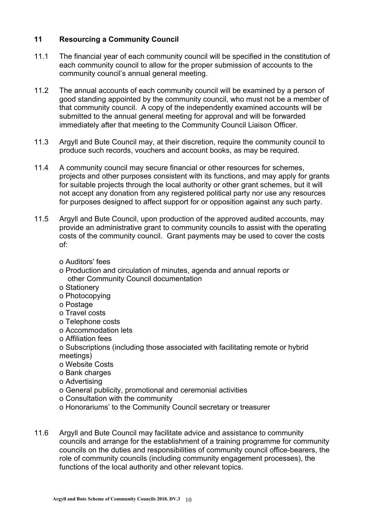# **11 Resourcing a Community Council**

- 11.1 The financial year of each community council will be specified in the constitution of each community council to allow for the proper submission of accounts to the community council's annual general meeting.
- 11.2 The annual accounts of each community council will be examined by a person of good standing appointed by the community council, who must not be a member of that community council. A copy of the independently examined accounts will be submitted to the annual general meeting for approval and will be forwarded immediately after that meeting to the Community Council Liaison Officer.
- 11.3 Argyll and Bute Council may, at their discretion, require the community council to produce such records, vouchers and account books, as may be required.
- 11.4 A community council may secure financial or other resources for schemes, projects and other purposes consistent with its functions, and may apply for grants for suitable projects through the local authority or other grant schemes, but it will not accept any donation from any registered political party nor use any resources for purposes designed to affect support for or opposition against any such party.
- 11.5 Argyll and Bute Council, upon production of the approved audited accounts, may provide an administrative grant to community councils to assist with the operating costs of the community council. Grant payments may be used to cover the costs of:
	- o Auditors' fees
	- o Production and circulation of minutes, agenda and annual reports or other Community Council documentation
	- o Stationery
	- o Photocopying
	- o Postage
	- o Travel costs
	- o Telephone costs
	- o Accommodation lets
	- o Affiliation fees
	- o Subscriptions (including those associated with facilitating remote or hybrid meetings)
	- o Website Costs
	- o Bank charges
	- o Advertising
	- o General publicity, promotional and ceremonial activities
	- o Consultation with the community
	- o Honorariums' to the Community Council secretary or treasurer
- 11.6 Argyll and Bute Council may facilitate advice and assistance to community councils and arrange for the establishment of a training programme for community councils on the duties and responsibilities of community council office-bearers, the role of community councils (including community engagement processes), the functions of the local authority and other relevant topics.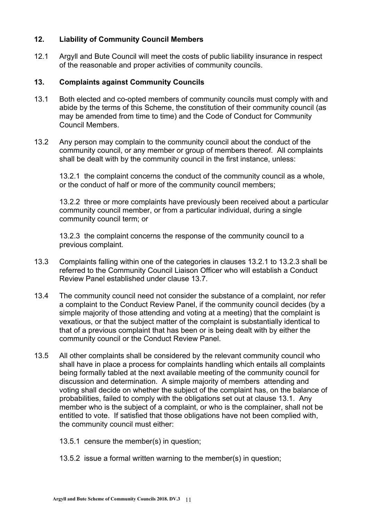# **12. Liability of Community Council Members**

12.1 Argyll and Bute Council will meet the costs of public liability insurance in respect of the reasonable and proper activities of community councils.

#### **13. Complaints against Community Councils**

- 13.1 Both elected and co-opted members of community councils must comply with and abide by the terms of this Scheme, the constitution of their community council (as may be amended from time to time) and the Code of Conduct for Community Council Members.
- 13.2 Any person may complain to the community council about the conduct of the community council, or any member or group of members thereof. All complaints shall be dealt with by the community council in the first instance, unless:

 13.2.1 the complaint concerns the conduct of the community council as a whole, or the conduct of half or more of the community council members;

 13.2.2 three or more complaints have previously been received about a particular community council member, or from a particular individual, during a single community council term; or

13.2.3 the complaint concerns the response of the community council to a previous complaint.

- 13.3 Complaints falling within one of the categories in clauses 13.2.1 to 13.2.3 shall be referred to the Community Council Liaison Officer who will establish a Conduct Review Panel established under clause 13.7.
- 13.4 The community council need not consider the substance of a complaint, nor refer a complaint to the Conduct Review Panel, if the community council decides (by a simple majority of those attending and voting at a meeting) that the complaint is vexatious, or that the subject matter of the complaint is substantially identical to that of a previous complaint that has been or is being dealt with by either the community council or the Conduct Review Panel.
- 13.5 All other complaints shall be considered by the relevant community council who shall have in place a process for complaints handling which entails all complaints being formally tabled at the next available meeting of the community council for discussion and determination. A simple majority of members attending and voting shall decide on whether the subject of the complaint has, on the balance of probabilities, failed to comply with the obligations set out at clause 13.1. Any member who is the subject of a complaint, or who is the complainer, shall not be entitled to vote. If satisfied that those obligations have not been complied with, the community council must either:

13.5.1 censure the member(s) in question;

13.5.2 issue a formal written warning to the member(s) in question;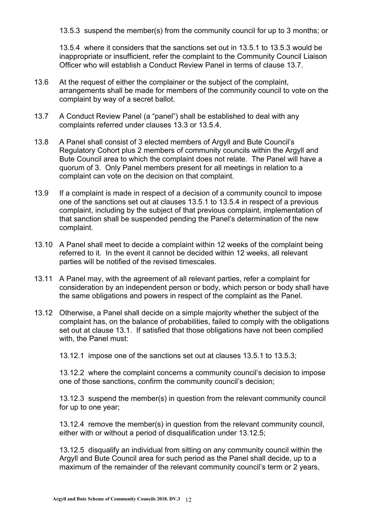13.5.3 suspend the member(s) from the community council for up to 3 months; or

13.5.4 where it considers that the sanctions set out in 13.5.1 to 13.5.3 would be inappropriate or insufficient, refer the complaint to the Community Council Liaison Officer who will establish a Conduct Review Panel in terms of clause 13.7.

- 13.6 At the request of either the complainer or the subject of the complaint, arrangements shall be made for members of the community council to vote on the complaint by way of a secret ballot.
- 13.7 A Conduct Review Panel (a "panel") shall be established to deal with any complaints referred under clauses 13.3 or 13.5.4.
- 13.8 A Panel shall consist of 3 elected members of Argyll and Bute Council's Regulatory Cohort plus 2 members of community councils within the Argyll and Bute Council area to which the complaint does not relate. The Panel will have a quorum of 3. Only Panel members present for all meetings in relation to a complaint can vote on the decision on that complaint.
- 13.9 If a complaint is made in respect of a decision of a community council to impose one of the sanctions set out at clauses 13.5.1 to 13.5.4 in respect of a previous complaint, including by the subject of that previous complaint, implementation of that sanction shall be suspended pending the Panel's determination of the new complaint.
- 13.10 A Panel shall meet to decide a complaint within 12 weeks of the complaint being referred to it. In the event it cannot be decided within 12 weeks, all relevant parties will be notified of the revised timescales.
- 13.11 A Panel may, with the agreement of all relevant parties, refer a complaint for consideration by an independent person or body, which person or body shall have the same obligations and powers in respect of the complaint as the Panel.
- 13.12 Otherwise, a Panel shall decide on a simple majority whether the subject of the complaint has, on the balance of probabilities, failed to comply with the obligations set out at clause 13.1. If satisfied that those obligations have not been complied with, the Panel must:

13.12.1 impose one of the sanctions set out at clauses 13.5.1 to 13.5.3;

13.12.2 where the complaint concerns a community council's decision to impose one of those sanctions, confirm the community council's decision;

13.12.3 suspend the member(s) in question from the relevant community council for up to one year;

13.12.4 remove the member(s) in question from the relevant community council, either with or without a period of disqualification under 13.12.5;

13.12.5 disqualify an individual from sitting on any community council within the Argyll and Bute Council area for such period as the Panel shall decide, up to a maximum of the remainder of the relevant community council's term or 2 years,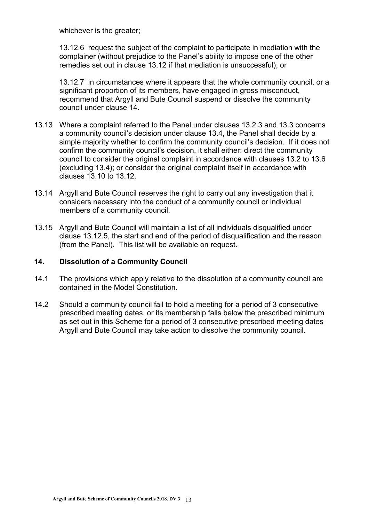whichever is the greater;

13.12.6 request the subject of the complaint to participate in mediation with the complainer (without prejudice to the Panel's ability to impose one of the other remedies set out in clause 13.12 if that mediation is unsuccessful); or

13.12.7 in circumstances where it appears that the whole community council, or a significant proportion of its members, have engaged in gross misconduct, recommend that Argyll and Bute Council suspend or dissolve the community council under clause 14.

- 13.13 Where a complaint referred to the Panel under clauses 13.2.3 and 13.3 concerns a community council's decision under clause 13.4, the Panel shall decide by a simple majority whether to confirm the community council's decision. If it does not confirm the community council's decision, it shall either: direct the community council to consider the original complaint in accordance with clauses 13.2 to 13.6 (excluding 13.4); or consider the original complaint itself in accordance with clauses 13.10 to 13.12.
- 13.14 Argyll and Bute Council reserves the right to carry out any investigation that it considers necessary into the conduct of a community council or individual members of a community council.
- 13.15 Argyll and Bute Council will maintain a list of all individuals disqualified under clause 13.12.5, the start and end of the period of disqualification and the reason (from the Panel). This list will be available on request.

#### **14. Dissolution of a Community Council**

- 14.1 The provisions which apply relative to the dissolution of a community council are contained in the Model Constitution.
- 14.2 Should a community council fail to hold a meeting for a period of 3 consecutive prescribed meeting dates, or its membership falls below the prescribed minimum as set out in this Scheme for a period of 3 consecutive prescribed meeting dates Argyll and Bute Council may take action to dissolve the community council.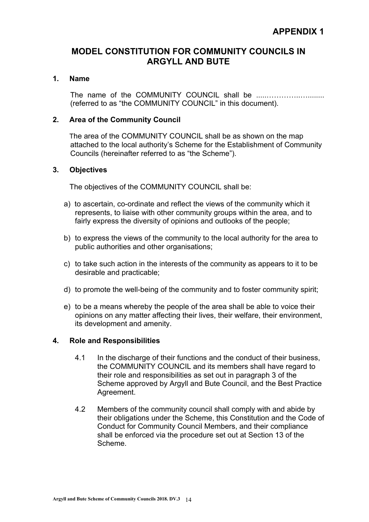# **MODEL CONSTITUTION FOR COMMUNITY COUNCILS IN ARGYLL AND BUTE**

#### **1. Name**

The name of the COMMUNITY COUNCIL shall be .....…………..…........ (referred to as "the COMMUNITY COUNCIL" in this document).

#### **2. Area of the Community Council**

 The area of the COMMUNITY COUNCIL shall be as shown on the map attached to the local authority's Scheme for the Establishment of Community Councils (hereinafter referred to as "the Scheme").

#### **3. Objectives**

The objectives of the COMMUNITY COUNCIL shall be:

- a) to ascertain, co-ordinate and reflect the views of the community which it represents, to liaise with other community groups within the area, and to fairly express the diversity of opinions and outlooks of the people;
- b) to express the views of the community to the local authority for the area to public authorities and other organisations;
- c) to take such action in the interests of the community as appears to it to be desirable and practicable;
- d) to promote the well-being of the community and to foster community spirit;
- e) to be a means whereby the people of the area shall be able to voice their opinions on any matter affecting their lives, their welfare, their environment, its development and amenity.

#### **4. Role and Responsibilities**

- 4.1 In the discharge of their functions and the conduct of their business, the COMMUNITY COUNCIL and its members shall have regard to their role and responsibilities as set out in paragraph 3 of the Scheme approved by Argyll and Bute Council, and the Best Practice Agreement.
- 4.2 Members of the community council shall comply with and abide by their obligations under the Scheme, this Constitution and the Code of Conduct for Community Council Members, and their compliance shall be enforced via the procedure set out at Section 13 of the Scheme.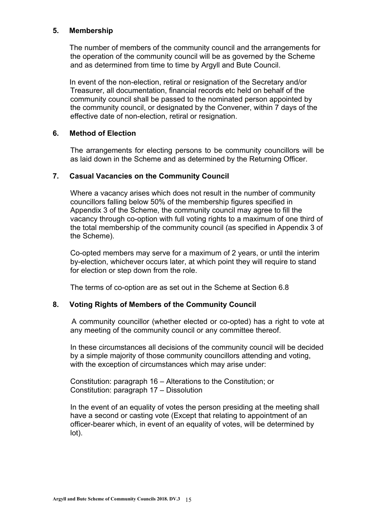#### **5. Membership**

 The number of members of the community council and the arrangements for the operation of the community council will be as governed by the Scheme and as determined from time to time by Argyll and Bute Council.

 In event of the non-election, retiral or resignation of the Secretary and/or Treasurer, all documentation, financial records etc held on behalf of the community council shall be passed to the nominated person appointed by the community council, or designated by the Convener, within 7 days of the effective date of non-election, retiral or resignation.

#### **6. Method of Election**

The arrangements for electing persons to be community councillors will be as laid down in the Scheme and as determined by the Returning Officer.

#### **7. Casual Vacancies on the Community Council**

Where a vacancy arises which does not result in the number of community councillors falling below 50% of the membership figures specified in Appendix 3 of the Scheme, the community council may agree to fill the vacancy through co-option with full voting rights to a maximum of one third of the total membership of the community council (as specified in Appendix 3 of the Scheme).

Co-opted members may serve for a maximum of 2 years, or until the interim by-election, whichever occurs later, at which point they will require to stand for election or step down from the role.

The terms of co-option are as set out in the Scheme at Section 6.8

#### **8. Voting Rights of Members of the Community Council**

 A community councillor (whether elected or co-opted) has a right to vote at any meeting of the community council or any committee thereof.

In these circumstances all decisions of the community council will be decided by a simple majority of those community councillors attending and voting, with the exception of circumstances which may arise under:

Constitution: paragraph 16 – Alterations to the Constitution; or Constitution: paragraph 17 – Dissolution

In the event of an equality of votes the person presiding at the meeting shall have a second or casting vote (Except that relating to appointment of an officer-bearer which, in event of an equality of votes, will be determined by lot).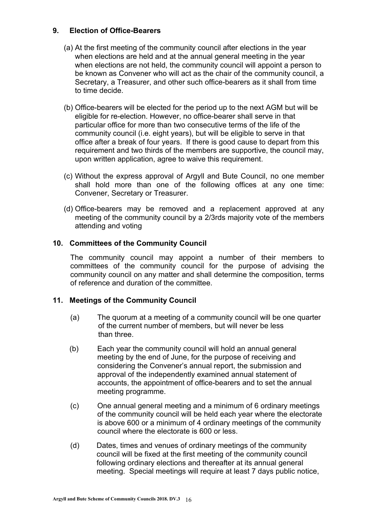#### **9. Election of Office-Bearers**

- (a) At the first meeting of the community council after elections in the year when elections are held and at the annual general meeting in the year when elections are not held, the community council will appoint a person to be known as Convener who will act as the chair of the community council, a Secretary, a Treasurer, and other such office-bearers as it shall from time to time decide.
- (b) Office-bearers will be elected for the period up to the next AGM but will be eligible for re-election. However, no office-bearer shall serve in that particular office for more than two consecutive terms of the life of the community council (i.e. eight years), but will be eligible to serve in that office after a break of four years. If there is good cause to depart from this requirement and two thirds of the members are supportive, the council may, upon written application, agree to waive this requirement.
- (c) Without the express approval of Argyll and Bute Council, no one member shall hold more than one of the following offices at any one time: Convener, Secretary or Treasurer.
- (d) Office-bearers may be removed and a replacement approved at any meeting of the community council by a 2/3rds majority vote of the members attending and voting

#### **10. Committees of the Community Council**

The community council may appoint a number of their members to committees of the community council for the purpose of advising the community council on any matter and shall determine the composition, terms of reference and duration of the committee.

#### **11. Meetings of the Community Council**

- (a) The quorum at a meeting of a community council will be one quarter of the current number of members, but will never be less than three.
- (b) Each year the community council will hold an annual general meeting by the end of June, for the purpose of receiving and considering the Convener's annual report, the submission and approval of the independently examined annual statement of accounts, the appointment of office-bearers and to set the annual meeting programme.
- (c) One annual general meeting and a minimum of 6 ordinary meetings of the community council will be held each year where the electorate is above 600 or a minimum of 4 ordinary meetings of the community council where the electorate is 600 or less.
- (d) Dates, times and venues of ordinary meetings of the community council will be fixed at the first meeting of the community council following ordinary elections and thereafter at its annual general meeting. Special meetings will require at least 7 days public notice,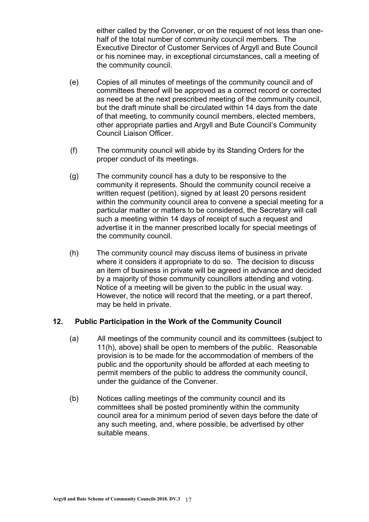either called by the Convener, or on the request of not less than onehalf of the total number of community council members. The Executive Director of Customer Services of Argyll and Bute Council or his nominee may, in exceptional circumstances, call a meeting of the community council.

- (e) Copies of all minutes of meetings of the community council and of committees thereof will be approved as a correct record or corrected as need be at the next prescribed meeting of the community council, but the draft minute shall be circulated within 14 days from the date of that meeting, to community council members, elected members, other appropriate parties and Argyll and Bute Council's Community Council Liaison Officer.
- (f) The community council will abide by its Standing Orders for the proper conduct of its meetings.
- (g) The community council has a duty to be responsive to the community it represents. Should the community council receive a written request (petition), signed by at least 20 persons resident within the community council area to convene a special meeting for a particular matter or matters to be considered, the Secretary will call such a meeting within 14 days of receipt of such a request and advertise it in the manner prescribed locally for special meetings of the community council.
- (h) The community council may discuss items of business in private where it considers it appropriate to do so. The decision to discuss an item of business in private will be agreed in advance and decided by a majority of those community councillors attending and voting. Notice of a meeting will be given to the public in the usual way. However, the notice will record that the meeting, or a part thereof, may be held in private.

#### **12. Public Participation in the Work of the Community Council**

- (a) All meetings of the community council and its committees (subject to 11(h), above) shall be open to members of the public. Reasonable provision is to be made for the accommodation of members of the public and the opportunity should be afforded at each meeting to permit members of the public to address the community council, under the guidance of the Convener.
- (b) Notices calling meetings of the community council and its committees shall be posted prominently within the community council area for a minimum period of seven days before the date of any such meeting, and, where possible, be advertised by other suitable means.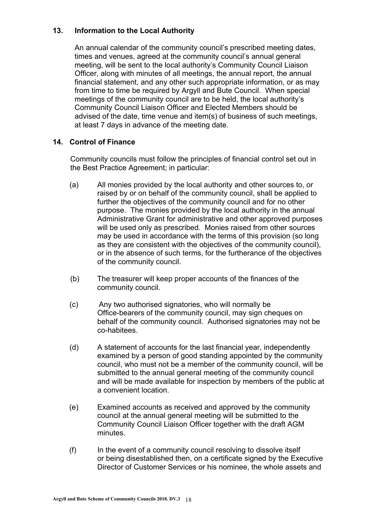# **13. Information to the Local Authority**

An annual calendar of the community council's prescribed meeting dates, times and venues, agreed at the community council's annual general meeting, will be sent to the local authority's Community Council Liaison Officer, along with minutes of all meetings, the annual report, the annual financial statement, and any other such appropriate information, or as may from time to time be required by Argyll and Bute Council. When special meetings of the community council are to be held, the local authority's Community Council Liaison Officer and Elected Members should be advised of the date, time venue and item(s) of business of such meetings, at least 7 days in advance of the meeting date.

#### **14. Control of Finance**

Community councils must follow the principles of financial control set out in the Best Practice Agreement; in particular:

- (a) All monies provided by the local authority and other sources to, or raised by or on behalf of the community council, shall be applied to further the objectives of the community council and for no other purpose. The monies provided by the local authority in the annual Administrative Grant for administrative and other approved purposes will be used only as prescribed. Monies raised from other sources may be used in accordance with the terms of this provision (so long as they are consistent with the objectives of the community council), or in the absence of such terms, for the furtherance of the objectives of the community council.
- (b) The treasurer will keep proper accounts of the finances of the community council.
- (c) Any two authorised signatories, who will normally be Office-bearers of the community council, may sign cheques on behalf of the community council. Authorised signatories may not be co-habitees.
- (d) A statement of accounts for the last financial year, independently examined by a person of good standing appointed by the community council, who must not be a member of the community council, will be submitted to the annual general meeting of the community council and will be made available for inspection by members of the public at a convenient location.
- (e) Examined accounts as received and approved by the community council at the annual general meeting will be submitted to the Community Council Liaison Officer together with the draft AGM minutes.
- (f) In the event of a community council resolving to dissolve itself or being disestablished then, on a certificate signed by the Executive Director of Customer Services or his nominee, the whole assets and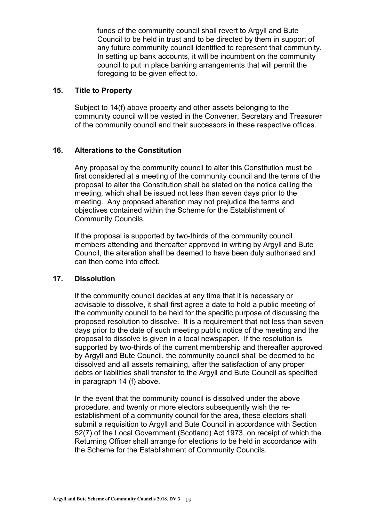funds of the community council shall revert to Argyll and Bute Council to be held in trust and to be directed by them in support of any future community council identified to represent that community. In setting up bank accounts, it will be incumbent on the community council to put in place banking arrangements that will permit the foregoing to be given effect to.

#### **15. Title to Property**

Subject to 14(f) above property and other assets belonging to the community council will be vested in the Convener, Secretary and Treasurer of the community council and their successors in these respective offices.

#### **16. Alterations to the Constitution**

Any proposal by the community council to alter this Constitution must be first considered at a meeting of the community council and the terms of the proposal to alter the Constitution shall be stated on the notice calling the meeting, which shall be issued not less than seven days prior to the meeting. Any proposed alteration may not prejudice the terms and objectives contained within the Scheme for the Establishment of Community Councils.

If the proposal is supported by two-thirds of the community council members attending and thereafter approved in writing by Argyll and Bute Council, the alteration shall be deemed to have been duly authorised and can then come into effect.

#### **17. Dissolution**

If the community council decides at any time that it is necessary or advisable to dissolve, it shall first agree a date to hold a public meeting of the community council to be held for the specific purpose of discussing the proposed resolution to dissolve. It is a requirement that not less than seven days prior to the date of such meeting public notice of the meeting and the proposal to dissolve is given in a local newspaper. If the resolution is supported by two-thirds of the current membership and thereafter approved by Argyll and Bute Council, the community council shall be deemed to be dissolved and all assets remaining, after the satisfaction of any proper debts or liabilities shall transfer to the Argyll and Bute Council as specified in paragraph 14 (f) above.

In the event that the community council is dissolved under the above procedure, and twenty or more electors subsequently wish the reestablishment of a community council for the area, these electors shall submit a requisition to Argyll and Bute Council in accordance with Section 52(7) of the Local Government (Scotland) Act 1973, on receipt of which the Returning Officer shall arrange for elections to be held in accordance with the Scheme for the Establishment of Community Councils.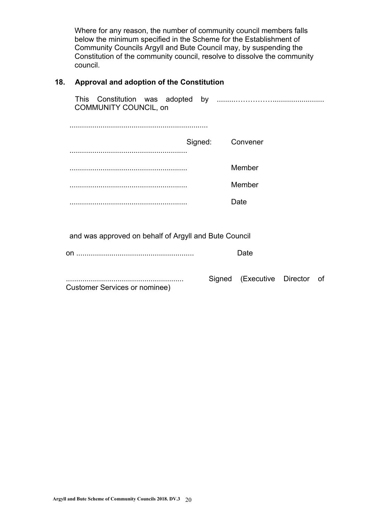Where for any reason, the number of community council members falls below the minimum specified in the Scheme for the Establishment of Community Councils Argyll and Bute Council may, by suspending the Constitution of the community council, resolve to dissolve the community council.

# **18. Approval and adoption of the Constitution**

| <b>COMMUNITY COUNCIL, on</b>                          |                            |    |
|-------------------------------------------------------|----------------------------|----|
|                                                       |                            |    |
| Signed:                                               | Convener                   |    |
|                                                       |                            |    |
|                                                       | Member                     |    |
|                                                       | Member                     |    |
|                                                       | Date                       |    |
|                                                       |                            |    |
| and was approved on behalf of Argyll and Bute Council |                            |    |
|                                                       | Date                       |    |
| Customer Services or nominee)                         | Signed (Executive Director | of |
|                                                       |                            |    |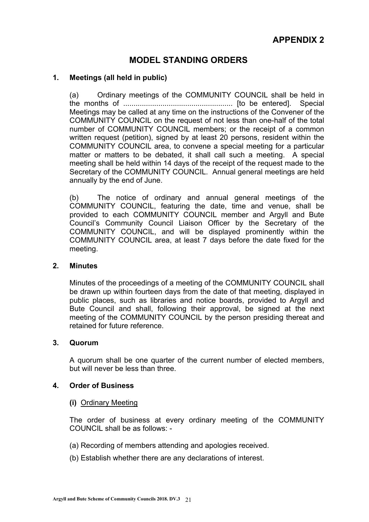# **MODEL STANDING ORDERS**

#### **1. Meetings (all held in public)**

 (a) Ordinary meetings of the COMMUNITY COUNCIL shall be held in the months of ..................................................... [to be entered]. Special Meetings may be called at any time on the instructions of the Convener of the COMMUNITY COUNCIL on the request of not less than one-half of the total number of COMMUNITY COUNCIL members; or the receipt of a common written request (petition), signed by at least 20 persons, resident within the COMMUNITY COUNCIL area, to convene a special meeting for a particular matter or matters to be debated, it shall call such a meeting. A special meeting shall be held within 14 days of the receipt of the request made to the Secretary of the COMMUNITY COUNCIL. Annual general meetings are held annually by the end of June.

 (b) The notice of ordinary and annual general meetings of the COMMUNITY COUNCIL, featuring the date, time and venue, shall be provided to each COMMUNITY COUNCIL member and Argyll and Bute Council's Community Council Liaison Officer by the Secretary of the COMMUNITY COUNCIL, and will be displayed prominently within the COMMUNITY COUNCIL area, at least 7 days before the date fixed for the meeting.

#### **2. Minutes**

Minutes of the proceedings of a meeting of the COMMUNITY COUNCIL shall be drawn up within fourteen days from the date of that meeting, displayed in public places, such as libraries and notice boards, provided to Argyll and Bute Council and shall, following their approval, be signed at the next meeting of the COMMUNITY COUNCIL by the person presiding thereat and retained for future reference.

#### **3. Quorum**

A quorum shall be one quarter of the current number of elected members, but will never be less than three.

#### **4. Order of Business**

 **(i)** Ordinary Meeting

The order of business at every ordinary meeting of the COMMUNITY COUNCIL shall be as follows: -

- (a) Recording of members attending and apologies received.
- (b) Establish whether there are any declarations of interest.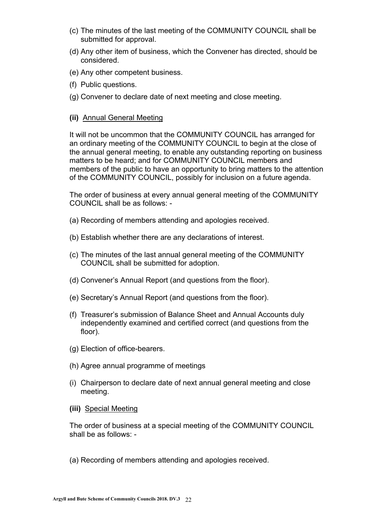- (c) The minutes of the last meeting of the COMMUNITY COUNCIL shall be submitted for approval.
- (d) Any other item of business, which the Convener has directed, should be considered.
- (e) Any other competent business.
- (f) Public questions.
- (g) Convener to declare date of next meeting and close meeting.

#### **(ii)** Annual General Meeting

It will not be uncommon that the COMMUNITY COUNCIL has arranged for an ordinary meeting of the COMMUNITY COUNCIL to begin at the close of the annual general meeting, to enable any outstanding reporting on business matters to be heard; and for COMMUNITY COUNCIL members and members of the public to have an opportunity to bring matters to the attention of the COMMUNITY COUNCIL, possibly for inclusion on a future agenda.

The order of business at every annual general meeting of the COMMUNITY COUNCIL shall be as follows: -

- (a) Recording of members attending and apologies received.
- (b) Establish whether there are any declarations of interest.
- (c) The minutes of the last annual general meeting of the COMMUNITY COUNCIL shall be submitted for adoption.
- (d) Convener's Annual Report (and questions from the floor).
- (e) Secretary's Annual Report (and questions from the floor).
- (f) Treasurer's submission of Balance Sheet and Annual Accounts duly independently examined and certified correct (and questions from the floor).
- (g) Election of office-bearers.
- (h) Agree annual programme of meetings
- (i) Chairperson to declare date of next annual general meeting and close meeting.
- **(iii)** Special Meeting

The order of business at a special meeting of the COMMUNITY COUNCIL shall be as follows: -

(a) Recording of members attending and apologies received.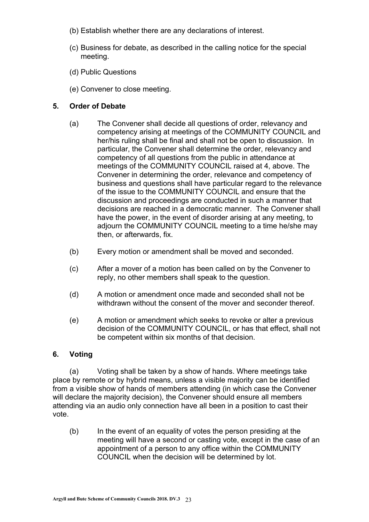- (b) Establish whether there are any declarations of interest.
- (c) Business for debate, as described in the calling notice for the special meeting.
- (d) Public Questions
- (e) Convener to close meeting.

# **5. Order of Debate**

- (a) The Convener shall decide all questions of order, relevancy and competency arising at meetings of the COMMUNITY COUNCIL and her/his ruling shall be final and shall not be open to discussion. In particular, the Convener shall determine the order, relevancy and competency of all questions from the public in attendance at meetings of the COMMUNITY COUNCIL raised at 4, above. The Convener in determining the order, relevance and competency of business and questions shall have particular regard to the relevance of the issue to the COMMUNITY COUNCIL and ensure that the discussion and proceedings are conducted in such a manner that decisions are reached in a democratic manner. The Convener shall have the power, in the event of disorder arising at any meeting, to adjourn the COMMUNITY COUNCIL meeting to a time he/she may then, or afterwards, fix.
- (b) Every motion or amendment shall be moved and seconded.
- (c) After a mover of a motion has been called on by the Convener to reply, no other members shall speak to the question.
- (d) A motion or amendment once made and seconded shall not be withdrawn without the consent of the mover and seconder thereof.
- (e) A motion or amendment which seeks to revoke or alter a previous decision of the COMMUNITY COUNCIL, or has that effect, shall not be competent within six months of that decision.

#### **6. Voting**

 (a) Voting shall be taken by a show of hands. Where meetings take place by remote or by hybrid means, unless a visible majority can be identified from a visible show of hands of members attending (in which case the Convener will declare the majority decision), the Convener should ensure all members attending via an audio only connection have all been in a position to cast their vote.

 (b) In the event of an equality of votes the person presiding at the meeting will have a second or casting vote, except in the case of an appointment of a person to any office within the COMMUNITY COUNCIL when the decision will be determined by lot.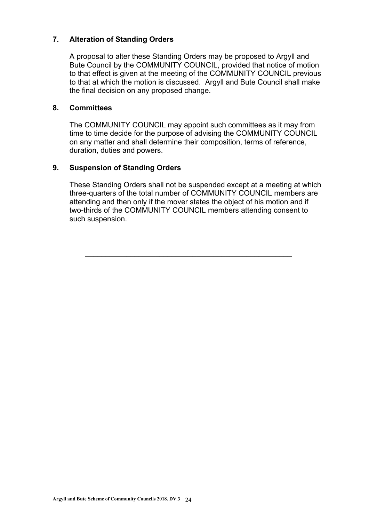# **7. Alteration of Standing Orders**

A proposal to alter these Standing Orders may be proposed to Argyll and Bute Council by the COMMUNITY COUNCIL, provided that notice of motion to that effect is given at the meeting of the COMMUNITY COUNCIL previous to that at which the motion is discussed. Argyll and Bute Council shall make the final decision on any proposed change.

#### **8. Committees**

The COMMUNITY COUNCIL may appoint such committees as it may from time to time decide for the purpose of advising the COMMUNITY COUNCIL on any matter and shall determine their composition, terms of reference, duration, duties and powers.

#### **9. Suspension of Standing Orders**

These Standing Orders shall not be suspended except at a meeting at which three-quarters of the total number of COMMUNITY COUNCIL members are attending and then only if the mover states the object of his motion and if two-thirds of the COMMUNITY COUNCIL members attending consent to such suspension.

\_\_\_\_\_\_\_\_\_\_\_\_\_\_\_\_\_\_\_\_\_\_\_\_\_\_\_\_\_\_\_\_\_\_\_\_\_\_\_\_\_\_\_\_\_\_\_\_\_\_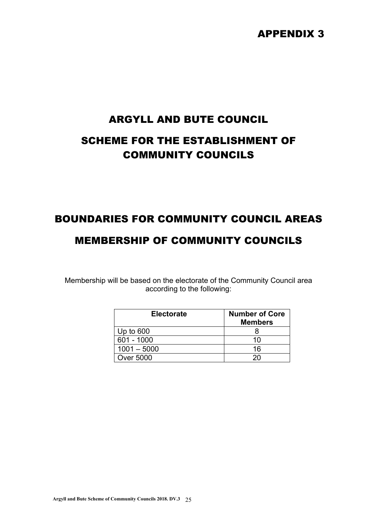# APPENDIX 3

# ARGYLL AND BUTE COUNCIL SCHEME FOR THE ESTABLISHMENT OF COMMUNITY COUNCILS

# BOUNDARIES FOR COMMUNITY COUNCIL AREAS

# MEMBERSHIP OF COMMUNITY COUNCILS

Membership will be based on the electorate of the Community Council area according to the following:

| <b>Electorate</b> | <b>Number of Core</b><br><b>Members</b> |
|-------------------|-----------------------------------------|
| Up to 600         |                                         |
| 601 - 1000        | 10                                      |
| $1001 - 5000$     | 16                                      |
| Over 5000         |                                         |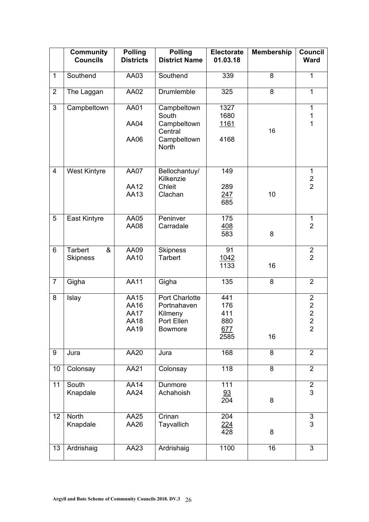|                | <b>Community</b><br><b>Councils</b>    | <b>Polling</b><br><b>Districts</b>          | <b>Polling</b><br><b>District Name</b>                                   | <b>Electorate</b><br>01.03.18           | <b>Membership</b> | Council<br><b>Ward</b>                                              |
|----------------|----------------------------------------|---------------------------------------------|--------------------------------------------------------------------------|-----------------------------------------|-------------------|---------------------------------------------------------------------|
| $\mathbf{1}$   | Southend                               | AA03                                        | Southend                                                                 | 339                                     | 8                 | $\mathbf 1$                                                         |
| $\overline{2}$ | The Laggan                             | AA02                                        | Drumlemble                                                               | 325                                     | 8                 | $\mathbf{1}$                                                        |
| 3              | Campbeltown                            | AA01<br>AA04                                | Campbeltown<br>South<br>Campbeltown                                      | 1327<br>1680<br><u> 1161</u>            |                   | $\mathbf{1}$<br>1<br>1                                              |
|                |                                        | AA06                                        | Central<br>Campbeltown<br><b>North</b>                                   | 4168                                    | 16                |                                                                     |
| 4              | <b>West Kintyre</b>                    | <b>AA07</b><br>AA12<br>AA13                 | Bellochantuy/<br>Kilkenzie<br>Chleit<br>Clachan                          | 149<br>289<br>247<br>685                | 10                | 1<br>$\frac{2}{2}$                                                  |
| 5              | East Kintyre                           | AA05<br>AA08                                | Peninver<br>Carradale                                                    | 175<br><u>408</u><br>583                | 8                 | $\mathbf 1$<br>$\overline{2}$                                       |
| 6              | <b>Tarbert</b><br>&<br><b>Skipness</b> | AA09<br>AA10                                | <b>Skipness</b><br><b>Tarbert</b>                                        | 91<br>1042<br>1133                      | 16                | $\overline{2}$<br>$\overline{2}$                                    |
| $\overline{7}$ | Gigha                                  | $\overline{AA11}$                           | Gigha                                                                    | 135                                     | 8                 | $\overline{2}$                                                      |
| 8              | Islay                                  | AA15<br>AA16<br><b>AA17</b><br>AA18<br>AA19 | Port Charlotte<br>Portnahaven<br>Kilmeny<br>Port Ellen<br><b>Bowmore</b> | 441<br>176<br>411<br>880<br>677<br>2585 | 16                | $\overline{2}$<br>$\frac{2}{2}$<br>$\overline{2}$<br>$\overline{2}$ |
| 9              | Jura                                   | AA20                                        | Jura                                                                     | 168                                     | 8                 | $\overline{2}$                                                      |
| 10             | Colonsay                               | AA21                                        | Colonsay                                                                 | 118                                     | $\overline{8}$    | $\overline{2}$                                                      |
| 11             | South<br>Knapdale                      | <b>AA14</b><br>AA24                         | Dunmore<br>Achahoish                                                     | 111<br>93<br>204                        | 8                 | $\overline{2}$<br>3                                                 |
| 12             | <b>North</b><br>Knapdale               | AA25<br>AA26                                | Crinan<br>Tayvallich                                                     | 204<br>$\frac{224}{428}$                | 8                 | $\sqrt{3}$<br>3                                                     |
| 13             | Ardrishaig                             | AA23                                        | Ardrishaig                                                               | 1100                                    | 16                | $\overline{3}$                                                      |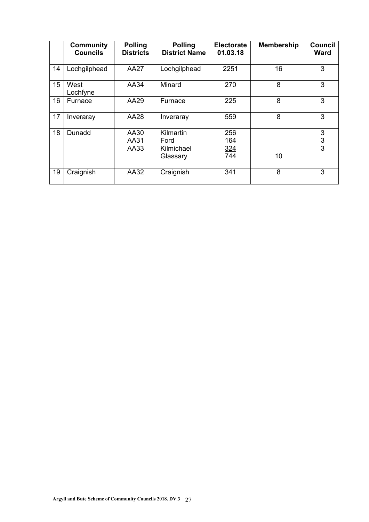|    | <b>Community</b><br><b>Councils</b> | <b>Polling</b><br><b>Districts</b> | <b>Polling</b><br><b>District Name</b>      | <b>Electorate</b><br>01.03.18 | <b>Membership</b> | <b>Council</b><br><b>Ward</b> |
|----|-------------------------------------|------------------------------------|---------------------------------------------|-------------------------------|-------------------|-------------------------------|
| 14 | Lochgilphead                        | <b>AA27</b>                        | Lochgilphead                                | 2251                          | 16                | 3                             |
| 15 | West<br>Lochfyne                    | AA34                               | Minard                                      | 270                           | 8                 | 3                             |
| 16 | Furnace                             | AA29                               | Furnace                                     | 225                           | 8                 | 3                             |
| 17 | Inveraray                           | <b>AA28</b>                        | Inveraray                                   | 559                           | 8                 | 3                             |
| 18 | Dunadd                              | AA30<br>AA31<br>AA33               | Kilmartin<br>Ford<br>Kilmichael<br>Glassary | 256<br>164<br>324<br>744      | 10                | 3<br>$\frac{3}{3}$            |
| 19 | Craignish                           | AA32                               | Craignish                                   | 341                           | 8                 | 3                             |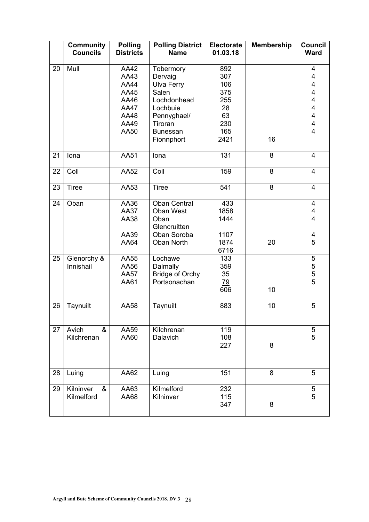|    | <b>Community</b><br><b>Councils</b> | <b>Polling</b><br><b>Districts</b>                                                 | <b>Polling District</b><br><b>Name</b>                                                                                                   | <b>Electorate</b><br>01.03.18                                     | <b>Membership</b> | <b>Council</b><br><b>Ward</b>                                                                                                     |
|----|-------------------------------------|------------------------------------------------------------------------------------|------------------------------------------------------------------------------------------------------------------------------------------|-------------------------------------------------------------------|-------------------|-----------------------------------------------------------------------------------------------------------------------------------|
| 20 | Mull                                | AA42<br>AA43<br><b>AA44</b><br>AA45<br>AA46<br><b>AA47</b><br>AA48<br>AA49<br>AA50 | Tobermory<br>Dervaig<br><b>Ulva Ferry</b><br>Salen<br>Lochdonhead<br>Lochbuie<br>Pennyghael/<br>Tiroran<br><b>Bunessan</b><br>Fionnphort | 892<br>307<br>106<br>375<br>255<br>28<br>63<br>230<br>165<br>2421 | 16                | 4<br>4<br>$\overline{\mathbf{4}}$<br>$\overline{\mathbf{4}}$<br>$\overline{\mathbf{4}}$<br>4<br>4<br>4<br>$\overline{\mathbf{4}}$ |
| 21 | lona                                | AA51                                                                               | Iona                                                                                                                                     | 131                                                               | 8                 | $\overline{4}$                                                                                                                    |
| 22 | Coll                                | <b>AA52</b>                                                                        | Coll                                                                                                                                     | 159                                                               | 8                 | $\overline{4}$                                                                                                                    |
| 23 | <b>Tiree</b>                        | AA53                                                                               | <b>Tiree</b>                                                                                                                             | 541                                                               | 8                 | 4                                                                                                                                 |
| 24 | Oban                                | AA36<br><b>AA37</b><br>AA38<br>AA39<br>AA64                                        | <b>Oban Central</b><br>Oban West<br>Oban<br>Glencruitten<br>Oban Soroba<br><b>Oban North</b>                                             | 433<br>1858<br>1444<br>1107<br>1874                               | 20                | 4<br>4<br>$\overline{\mathbf{4}}$<br>4<br>5                                                                                       |
| 25 | Glenorchy &<br>Innishail            | AA55<br>AA56                                                                       | Lochawe<br>Dalmally                                                                                                                      | 6716<br>133<br>359                                                |                   | $\mathbf 5$                                                                                                                       |
|    |                                     | <b>AA57</b><br>AA61                                                                | <b>Bridge of Orchy</b><br>Portsonachan                                                                                                   | 35<br><u>79</u><br>606                                            | 10                | $\frac{5}{5}$                                                                                                                     |
| 26 | Taynuilt                            | AA58                                                                               | Taynuilt                                                                                                                                 | 883                                                               | 10                | 5                                                                                                                                 |
| 27 | Avich<br>&<br>Kilchrenan            | AA59<br>AA60                                                                       | Kilchrenan<br>Dalavich                                                                                                                   | 119<br><u>108</u><br>227                                          | 8                 | 5<br>5                                                                                                                            |
| 28 | Luing                               | AA62                                                                               | Luing                                                                                                                                    | 151                                                               | 8                 | 5                                                                                                                                 |
| 29 | Kilninver<br>&<br>Kilmelford        | AA63<br>AA68                                                                       | Kilmelford<br>Kilninver                                                                                                                  | 232<br>115<br>347                                                 | 8                 | $\frac{5}{5}$                                                                                                                     |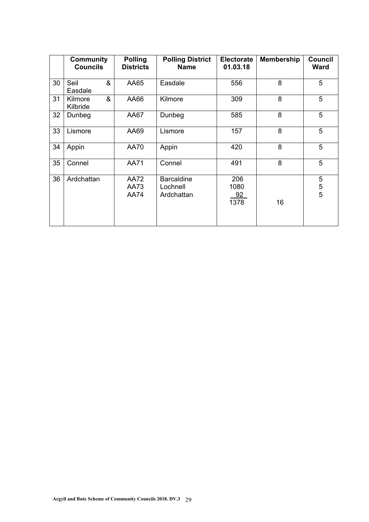|    | <b>Community</b><br><b>Councils</b> | <b>Polling</b><br><b>Districts</b> | <b>Polling District</b><br><b>Name</b>      | <b>Electorate</b><br>01.03.18 | <b>Membership</b> | <b>Council</b><br><b>Ward</b> |
|----|-------------------------------------|------------------------------------|---------------------------------------------|-------------------------------|-------------------|-------------------------------|
| 30 | &<br>Seil<br>Easdale                | AA65                               | Easdale                                     | 556                           | 8                 | 5                             |
| 31 | &<br>Kilmore<br>Kilbride            | AA66                               | Kilmore                                     | 309                           | 8                 | 5                             |
| 32 | Dunbeg                              | AA67                               | Dunbeg                                      | 585                           | 8                 | 5                             |
| 33 | Lismore                             | AA69                               | Lismore                                     | 157                           | 8                 | 5                             |
| 34 | Appin                               | <b>AA70</b>                        | Appin                                       | 420                           | 8                 | 5                             |
| 35 | Connel                              | <b>AA71</b>                        | Connel                                      | 491                           | 8                 | 5                             |
| 36 | Ardchattan                          | <b>AA72</b><br>AA73<br><b>AA74</b> | <b>Barcaldine</b><br>Lochnell<br>Ardchattan | 206<br>1080<br>92<br>1378     | 16                | 5<br>$\frac{5}{5}$            |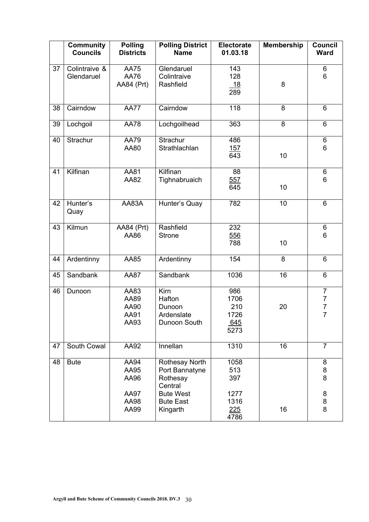|    | <b>Community</b><br><b>Councils</b> | <b>Polling</b><br><b>Districts</b>   | <b>Polling District</b><br><b>Name</b>                  | <b>Electorate</b><br>01.03.18             | <b>Membership</b> | Council<br><b>Ward</b>                            |
|----|-------------------------------------|--------------------------------------|---------------------------------------------------------|-------------------------------------------|-------------------|---------------------------------------------------|
| 37 | Colintraive &<br>Glendaruel         | <b>AA75</b><br>AA76<br>AA84 (Prt)    | Glendaruel<br>Colintraive<br>Rashfield                  | 143<br>128<br><u> 18</u><br>289           | 8                 | $\,6$<br>6                                        |
| 38 | Cairndow                            | <b>AA77</b>                          | Cairndow                                                | $\overline{118}$                          | 8                 | 6                                                 |
| 39 | Lochgoil                            | <b>AA78</b>                          | Lochgoilhead                                            | 363                                       | 8                 | 6                                                 |
| 40 | Strachur                            | <b>AA79</b><br>AA80                  | Strachur<br>Strathlachlan                               | 486<br><u>157</u><br>643                  | 10                | $\,6$<br>6                                        |
| 41 | Kilfinan                            | AA81<br>AA82                         | Kilfinan<br>Tighnabruaich                               | 88<br>557<br>645                          | 10                | $\,6$<br>6                                        |
| 42 | Hunter's<br>Quay                    | AA83A                                | Hunter's Quay                                           | 782                                       | 10                | 6                                                 |
| 43 | Kilmun                              | AA84 (Prt)<br>AA86                   | Rashfield<br><b>Strone</b>                              | 232<br>556<br>788                         | 10                | $\,6$<br>6                                        |
| 44 | Ardentinny                          | AA85                                 | Ardentinny                                              | 154                                       | 8                 | 6                                                 |
| 45 | Sandbank                            | <b>AA87</b>                          | Sandbank                                                | 1036                                      | 16                | $\,6\,$                                           |
| 46 | Dunoon                              | AA83<br>AA89<br>AA90<br>AA91<br>AA93 | Kirn<br>Hafton<br>Dunoon<br>Ardenslate<br>Dunoon South  | 986<br>1706<br>210<br>1726<br>645<br>5273 | 20                | $\overline{7}$<br>$\frac{7}{7}$<br>$\overline{7}$ |
| 47 | South Cowal                         | AA92                                 | Innellan                                                | 1310                                      | 16                | $\overline{7}$                                    |
| 48 | <b>Bute</b>                         | AA94<br>AA95<br>AA96                 | Rothesay North<br>Port Bannatyne<br>Rothesay<br>Central | 1058<br>513<br>397                        |                   | 8<br>8<br>8                                       |
|    |                                     | <b>AA97</b><br>AA98<br>AA99          | <b>Bute West</b><br><b>Bute East</b><br>Kingarth        | 1277<br>1316<br>225<br>4786               | 16                | 8<br>8<br>8                                       |